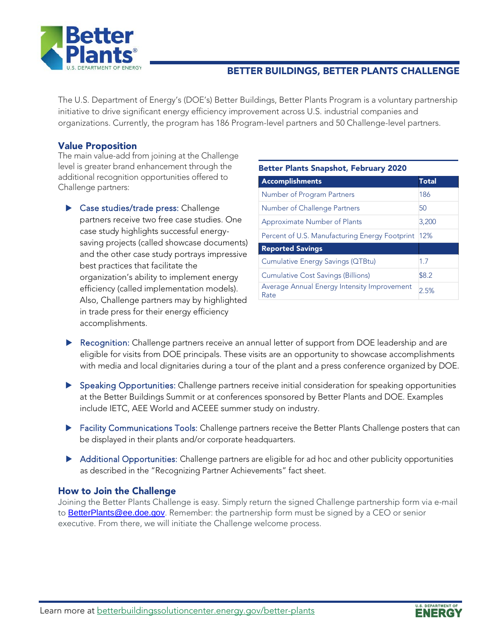

### BETTER BUILDINGS, BETTER PLANTS CHALLENGE

The U.S. Department of Energy's (DOE's) Better Buildings, Better Plants Program is a voluntary partnership initiative to drive significant energy efficiency improvement across U.S. industrial companies and organizations. Currently, the program has 186 Program-level partners and 50 Challenge-level partners.

#### Value Proposition

The main value-add from joining at the Challenge level is greater brand enhancement through the additional recognition opportunities offered to Challenge partners:

 Case studies/trade press: Challenge partners receive two free case studies. One case study highlights successful energysaving projects (called showcase documents) and the other case study portrays impressive best practices that facilitate the organization's ability to implement energy efficiency (called implementation models). Also, Challenge partners may by highlighted in trade press for their energy efficiency accomplishments.

| <b>Better Plants Snapshot, February 2020</b>        |              |
|-----------------------------------------------------|--------------|
| <b>Accomplishments</b>                              | <b>Total</b> |
| Number of Program Partners                          | 186          |
| Number of Challenge Partners                        | 50           |
| Approximate Number of Plants                        | 3,200        |
| Percent of U.S. Manufacturing Energy Footprint      | 12%          |
| <b>Reported Savings</b>                             |              |
| Cumulative Energy Savings (QTBtu)                   | 1.7          |
| <b>Cumulative Cost Savings (Billions)</b>           | \$8.2        |
| Average Annual Energy Intensity Improvement<br>Rate | 2.5%         |

- **Recognition:** Challenge partners receive an annual letter of support from DOE leadership and are eligible for visits from DOE principals. These visits are an opportunity to showcase accomplishments with media and local dignitaries during a tour of the plant and a press conference organized by DOE.
- Speaking Opportunities: Challenge partners receive initial consideration for speaking opportunities at the Better Buildings Summit or at conferences sponsored by Better Plants and DOE. Examples include IETC, AEE World and ACEEE summer study on industry.
- **Facility Communications Tools:** Challenge partners receive the Better Plants Challenge posters that can be displayed in their plants and/or corporate headquarters.
- Additional Opportunities: Challenge partners are eligible for ad hoc and other publicity opportunities as described in the "Recognizing Partner Achievements" fact sheet.

#### How to Join the Challenge

Joining the Better Plants Challenge is easy. Simply return the signed Challenge partnership form via e-mail to [BetterPlants@ee.doe.gov](mailto:BetterPlants@ee.doe.gov). Remember: the partnership form must be signed by a CEO or senior executive. From there, we will initiate the Challenge welcome process.